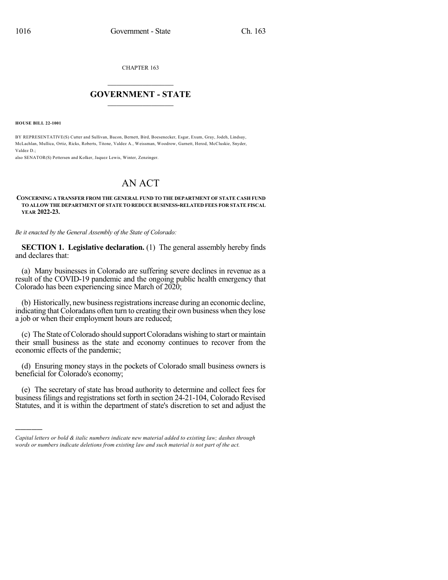CHAPTER 163

## $\overline{\phantom{a}}$  . The set of the set of the set of the set of the set of the set of the set of the set of the set of the set of the set of the set of the set of the set of the set of the set of the set of the set of the set o **GOVERNMENT - STATE**  $\_$

**HOUSE BILL 22-1001**

)))))

BY REPRESENTATIVE(S) Cutter and Sullivan, Bacon, Bernett, Bird, Boesenecker, Esgar, Exum, Gray, Jodeh, Lindsay, McLachlan, Mullica, Ortiz, Ricks, Roberts, Titone, Valdez A., Weissman, Woodrow, Garnett, Herod, McCluskie, Snyder, Valdez D.;

also SENATOR(S) Pettersen and Kolker, Jaquez Lewis, Winter, Zenzinger.

## AN ACT

## **CONCERNING A TRANSFER FROM THE GENERAL FUND TO THE DEPARTMENT OF STATE CASH FUND TO ALLOW THE DEPARTMENT OF STATE TO REDUCE BUSINESS-RELATED FEES FOR STATE FISCAL YEAR 2022-23.**

*Be it enacted by the General Assembly of the State of Colorado:*

**SECTION 1. Legislative declaration.** (1) The general assembly hereby finds and declares that:

(a) Many businesses in Colorado are suffering severe declines in revenue as a result of the COVID-19 pandemic and the ongoing public health emergency that Colorado has been experiencing since March of 2020;

(b) Historically, newbusinessregistrationsincrease during an economic decline, indicating that Coloradans often turn to creating their own business when they lose a job or when their employment hours are reduced;

(c) The State ofColorado should supportColoradans wishing to start or maintain their small business as the state and economy continues to recover from the economic effects of the pandemic;

(d) Ensuring money stays in the pockets of Colorado small business owners is beneficial for Colorado's economy;

(e) The secretary of state has broad authority to determine and collect fees for business filings and registrations set forth in section 24-21-104, Colorado Revised Statutes, and it is within the department of state's discretion to set and adjust the

*Capital letters or bold & italic numbers indicate new material added to existing law; dashes through words or numbers indicate deletions from existing law and such material is not part of the act.*